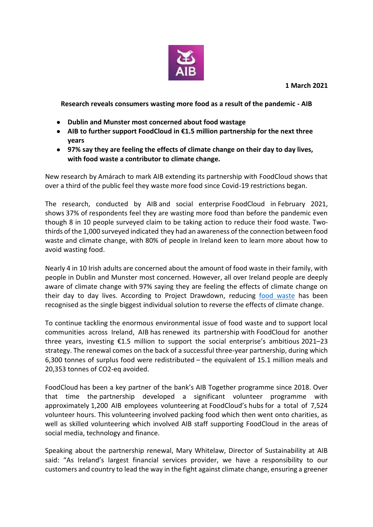

**Research reveals consumers wasting more food as a result of the pandemic - AIB**

- **Dublin and Munster most concerned about food wastage**
- **AIB to further support FoodCloud in €1.5 million partnership for the next three years**
- **97% say they are feeling the effects of climate change on their day to day lives, with food waste a contributor to climate change.**

New research by Amárach to mark AIB extending its partnership with FoodCloud shows that over a third of the public feel they waste more food since Covid-19 restrictions began.

The research, conducted by AIB and social enterprise FoodCloud in February 2021, shows 37% of respondents feel they are wasting more food than before the pandemic even though 8 in 10 people surveyed claim to be taking action to reduce their food waste. Twothirds of the 1,000 surveyed indicated they had an awareness of the connection between food waste and climate change, with 80% of people in Ireland keen to learn more about how to avoid wasting food.

Nearly 4 in 10 Irish adults are concerned about the amount of food waste in their family, with people in Dublin and Munster most concerned. However, all over Ireland people are deeply aware of climate change with 97% saying they are feeling the effects of climate change on their day to day lives. According to Project Drawdown, reducing [food waste](https://drawdown.org/solutions/table-of-solutions) has been recognised as the single biggest individual solution to reverse the effects of climate change.

To continue tackling the enormous environmental issue of food waste and to support local communities across Ireland, AIB has renewed its partnership with FoodCloud for another three years, investing €1.5 million to support the social enterprise's ambitious 2021–23 strategy. The renewal comes on the back of a successful three-year partnership, during which 6,300 tonnes of surplus food were redistributed – the equivalent of 15.1 million meals and 20,353 tonnes of CO2-eq avoided.

FoodCloud has been a key partner of the bank's AIB Together programme since 2018. Over that time the partnership developed a significant volunteer programme with approximately 1,200 AIB employees volunteering at FoodCloud's hubs for a total of 7,524 volunteer hours. This volunteering involved packing food which then went onto charities, as well as skilled volunteering which involved AIB staff supporting FoodCloud in the areas of social media, technology and finance.

Speaking about the partnership renewal, Mary Whitelaw, Director of Sustainability at AIB said: "As Ireland's largest financial services provider, we have a responsibility to our customers and country to lead the way in the fight against climate change, ensuring a greener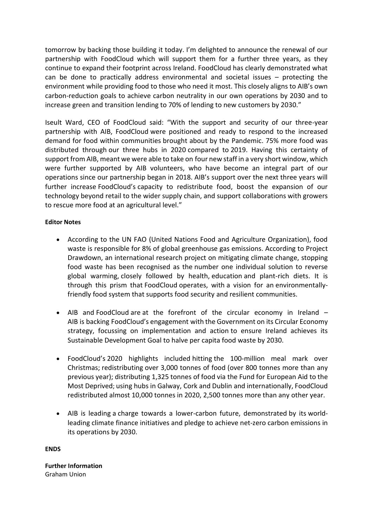tomorrow by backing those building it today. I'm delighted to announce the renewal of our partnership with FoodCloud which will support them for a further three years, as they continue to expand their footprint across Ireland. FoodCloud has clearly demonstrated what can be done to practically address environmental and societal issues – protecting the environment while providing food to those who need it most. This closely aligns to AIB's own carbon-reduction goals to achieve carbon neutrality in our own operations by 2030 and to increase green and transition lending to 70% of lending to new customers by 2030."

Iseult Ward, CEO of FoodCloud said: "With the support and security of our three-year partnership with AIB, FoodCloud were positioned and ready to respond to the increased demand for food within communities brought about by the Pandemic. 75% more food was distributed through our three hubs in 2020 compared to 2019. Having this certainty of support from AIB, meant we were able to take on four new staff in a very short window, which were further supported by AIB volunteers, who have become an integral part of our operations since our partnership began in 2018. AIB's support over the next three years will further increase FoodCloud's capacity to redistribute food, boost the expansion of our technology beyond retail to the wider supply chain, and support collaborations with growers to rescue more food at an agricultural level."

## **Editor Notes**

- According to the UN FAO (United Nations Food and Agriculture Organization), food waste is responsible for 8% of global greenhouse gas emissions. According to Project Drawdown, an international research project on mitigating climate change, stopping food waste has been recognised as the number one individual solution to reverse global warming, closely followed by health, education and plant-rich diets. It is through this prism that FoodCloud operates, with a vision for an environmentallyfriendly food system that supports food security and resilient communities.
- AIB and FoodCloud are at the forefront of the circular economy in Ireland AIB is backing FoodCloud's engagement with the Government on its Circular Economy strategy, focussing on implementation and action to ensure Ireland achieves its Sustainable Development Goal to halve per capita food waste by 2030.
- FoodCloud's 2020 highlights included hitting the 100-million meal mark over Christmas; redistributing over 3,000 tonnes of food (over 800 tonnes more than any previous year); distributing 1,325 tonnes of food via the Fund for European Aid to the Most Deprived; using hubs in Galway, Cork and Dublin and internationally, FoodCloud redistributed almost 10,000 tonnes in 2020, 2,500 tonnes more than any other year.
- AIB is leading a charge towards a lower-carbon future, demonstrated by its worldleading climate finance initiatives and pledge to achieve net-zero carbon emissions in its operations by 2030.

**ENDS**

**Further Information** Graham Union